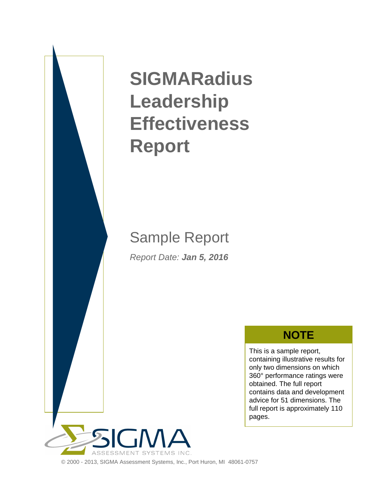

# **SIGMARadius Leadership Effectiveness Report**

# Sample Report

Report Date: **Jan 5, 2016**

# **NOTE**

This is a sample report, containing illustrative results for only two dimensions on which 360° performance ratings were obtained. The full report contains data and development advice for 51 dimensions. The full report is approximately 110 pages.



ASSESSMENT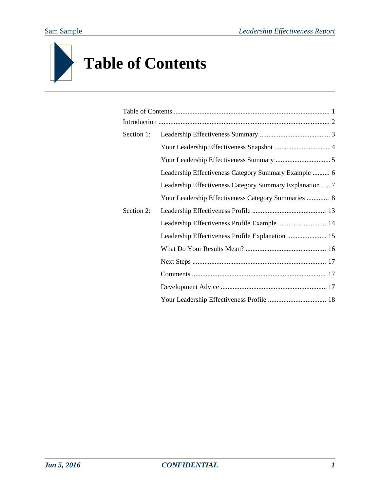# **Table of Contents**

| Section 1: |                                                          |
|------------|----------------------------------------------------------|
|            |                                                          |
|            |                                                          |
|            | Leadership Effectiveness Category Summary Example  6     |
|            | Leadership Effectiveness Category Summary Explanation  7 |
|            | Your Leadership Effectiveness Category Summaries  8      |
| Section 2: |                                                          |
|            | Leadership Effectiveness Profile Example  14             |
|            | Leadership Effectiveness Profile Explanation  15         |
|            |                                                          |
|            |                                                          |
|            |                                                          |
|            |                                                          |
|            |                                                          |
|            |                                                          |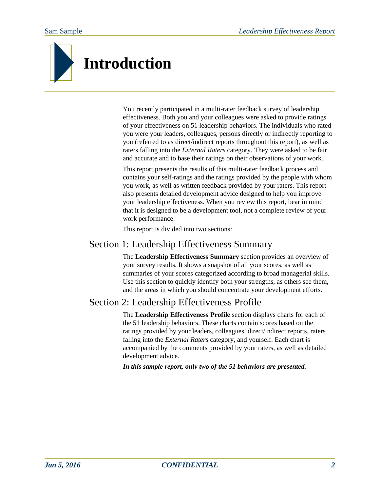# **Introduction**

You recently participated in a multi-rater feedback survey of leadership effectiveness. Both you and your colleagues were asked to provide ratings of your effectiveness on 51 leadership behaviors. The individuals who rated you were your leaders, colleagues, persons directly or indirectly reporting to you (referred to as direct/indirect reports throughout this report), as well as raters falling into the *External Raters* category. They were asked to be fair and accurate and to base their ratings on their observations of your work.

This report presents the results of this multi-rater feedback process and contains your self-ratings and the ratings provided by the people with whom you work, as well as written feedback provided by your raters. This report also presents detailed development advice designed to help you improve your leadership effectiveness. When you review this report, bear in mind that it is designed to be a development tool, not a complete review of your work performance.

This report is divided into two sections:

#### Section 1: Leadership Effectiveness Summary

The **Leadership Effectiveness Summary** section provides an overview of your survey results. It shows a snapshot of all your scores, as well as summaries of your scores categorized according to broad managerial skills. Use this section to quickly identify both your strengths, as others see them, and the areas in which you should concentrate your development efforts.

## Section 2: Leadership Effectiveness Profile

The Leadership Effectiveness Profile section displays charts for each of the 51 leadership behaviors. These charts contain scores based on the ratings provided by your leaders, colleagues, direct/indirect reports, raters falling into the *External Raters* category, and yourself. Each chart is accompanied by the comments provided by your raters, as well as detailed development advice.

*In this sample report, only two of the 51 behaviors are presented.*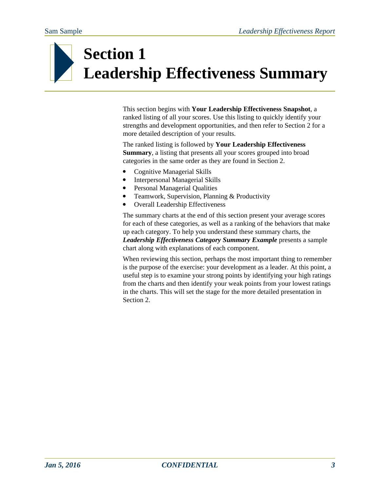# **Section 1 Leadership Effectiveness Summary**

This section begins with **Your Leadership Effectiveness Snapshot**, a ranked listing of all your scores. Use this listing to quickly identify your strengths and development opportunities, and then refer to Section 2 for a more detailed description of your results.

The ranked listing is followed by **Your Leadership Effectiveness Summary**, a listing that presents all your scores grouped into broad categories in the same order as they are found in Section 2.

- Cognitive Managerial Skills
- Interpersonal Managerial Skills
- Personal Managerial Qualities
- Teamwork, Supervision, Planning & Productivity
- Overall Leadership Effectiveness

The summary charts at the end of this section present your average scores for each of these categories, as well as a ranking of the behaviors that make up each category. To help you understand these summary charts, the *Leadership Effectiveness Category Summary Example* presents a sample chart along with explanations of each component.

When reviewing this section, perhaps the most important thing to remember is the purpose of the exercise: your development as a leader. At this point, a useful step is to examine your strong points by identifying your high ratings from the charts and then identify your weak points from your lowest ratings in the charts. This will set the stage for the more detailed presentation in Section 2.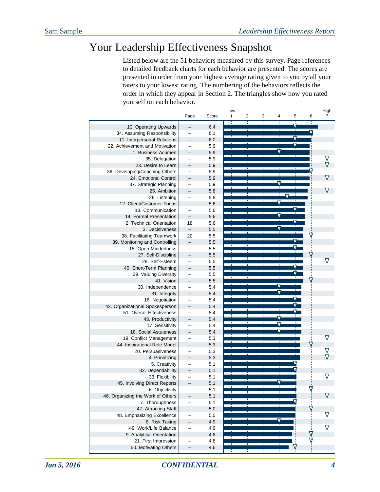# Your Leadership Effectiveness Snapshot

Listed below are the 51 behaviors measured by this survey. Page references to detailed feedback charts for each behavior are presented. The scores are presented in order from your highest average rating given to you by all your raters to your lowest rating. The numbering of the behaviors reflects the order in which they appear in Section 2. The triangles show how you rated yourself on each behavior.

|                                   |                          |       | Low |   |        |   |    | High |
|-----------------------------------|--------------------------|-------|-----|---|--------|---|----|------|
|                                   | Page                     | Score | 1   | 2 | 3<br>4 | 5 | 6  | 7    |
|                                   |                          |       |     |   |        |   |    |      |
| 10. Operating Upwards             | $\overline{\phantom{a}}$ | 6.4   |     |   |        |   |    |      |
| 34. Assuming Responsibility       | Ξ.                       | 6.1   |     |   |        |   |    |      |
| 11. Interpersonal Relations       | $\overline{\phantom{a}}$ | 6.0   |     |   |        |   |    |      |
| 22. Achievement and Motivation    | --                       | 5.9   |     |   |        |   |    |      |
| 1. Business Acumen                | $\overline{\phantom{a}}$ | 5.9   |     |   |        |   |    |      |
| 35. Delegation                    | --                       | 5.9   |     |   |        |   |    |      |
| 23. Desire to Learn               | --                       | 5.9   |     |   |        |   |    |      |
|                                   |                          |       |     |   |        |   |    |      |
| 36. Developing/Coaching Others    |                          | 5.9   |     |   |        |   |    |      |
| 24. Emotional Control             | $\qquad \qquad -$        | 5.9   |     |   |        |   |    |      |
| 37. Strategic Planning            | --                       | 5.9   |     |   |        |   |    |      |
| 25. Ambition                      | $\overline{\phantom{a}}$ | 5.8   |     |   |        |   |    |      |
| 26. Listening                     | $\overline{a}$           | 5.8   |     |   |        |   |    |      |
| 12. Client/Customer Focus         | $\overline{\phantom{a}}$ | 5.6   |     |   |        |   |    |      |
| 13. Communication                 | --                       | 5.6   |     |   |        |   |    |      |
| 14. Formal Presentation           | $\overline{\phantom{a}}$ | 5.6   |     |   |        |   |    |      |
| 2. Technical Orientation          | 18                       | 5.6   |     |   |        |   |    |      |
| 3. Decisiveness                   | $\overline{\phantom{a}}$ | 5.5   |     |   |        |   |    |      |
| 38. Facilitating Teamwork         | 20                       | 5.5   |     |   |        |   |    |      |
|                                   | $\overline{\phantom{a}}$ |       |     |   |        |   |    |      |
| 39. Monitoring and Controlling    |                          | 5.5   |     |   |        |   |    |      |
| 15. Open-Mindedness               | --                       | 5.5   |     |   |        |   | Ū  |      |
| 27. Self-Discipline               | $\overline{\phantom{a}}$ | 5.5   |     |   |        |   |    |      |
| 28. Self-Esteem                   | ٠.                       | 5.5   |     |   |        |   |    |      |
| 40. Short-Term Planning           | --                       | 5.5   |     |   |        |   |    |      |
| 29. Valuing Diversity             | --                       | 5.5   |     |   |        |   |    |      |
| 41. Vision                        | $\qquad \qquad -$        | 5.5   |     |   |        |   |    |      |
| 30. Independence                  | $\overline{\phantom{a}}$ | 5.4   |     |   |        |   |    |      |
| 31. Integrity                     | $\overline{\phantom{a}}$ | 5.4   |     |   |        |   |    |      |
| 16. Negotiation                   | $\overline{a}$           | 5.4   |     |   |        |   |    |      |
| 42. Organizational Spokesperson   | $\overline{\phantom{a}}$ | 5.4   |     |   |        |   |    |      |
| 51. Overall Effectiveness         | --                       | 5.4   |     |   |        |   |    |      |
|                                   |                          |       |     |   |        |   |    |      |
| 43. Productivity                  | --                       | 5.4   |     |   |        |   |    |      |
| 17. Sensitivity                   | --                       | 5.4   |     |   |        |   |    |      |
| 18. Social Astuteness             | $\overline{\phantom{a}}$ | 5.4   |     |   |        |   |    |      |
| 19. Conflict Management           | $\overline{\phantom{a}}$ | 5.3   |     |   |        |   |    |      |
| 44. Inspirational Role Model      | $\overline{\phantom{a}}$ | 5.3   |     |   |        |   |    |      |
| 20. Persuasiveness                | --                       | 5.3   |     |   |        |   |    |      |
| 4. Prioritizing                   | $\overline{\phantom{a}}$ | 5.3   |     |   |        |   |    |      |
| 5. Creativity                     | ٠.                       | 5.1   |     |   |        |   |    |      |
| 32. Dependability                 | $\overline{\phantom{a}}$ | 5.1   |     |   |        |   |    |      |
| 33. Flexibility                   |                          | 5.1   |     |   |        |   |    |      |
| 45. Involving Direct Reports      | --                       | 5.1   |     |   |        |   |    |      |
| 6. Objectivity                    | --                       | 5.1   |     |   |        |   | ᡕᡃ |      |
| 46. Organizing the Work of Others |                          | 5.1   |     |   |        |   |    | V    |
|                                   | --                       |       |     |   |        |   |    |      |
| 7. Thoroughness                   | --                       | 5.1   |     |   |        |   | V  |      |
| 47. Attracting Staff              | --                       | 5.0   |     |   |        |   |    |      |
| 48. Emphasizing Excellence        | --                       | 5.0   |     |   |        |   |    | ⊽    |
| 8. Risk Taking                    | --                       | 4.9   |     |   |        |   |    |      |
| 49. Work/Life Balance             | --                       | 4.9   |     |   |        |   |    | V    |
| 9. Analytical Orientation         | --                       | 4.8   |     |   |        |   | V  |      |
| 21. First Impression              | --                       | 4.8   |     |   |        |   | Δ  |      |
| 50. Motivating Others             | --                       | 4.6   |     |   |        | V |    |      |
|                                   |                          |       |     |   |        |   |    |      |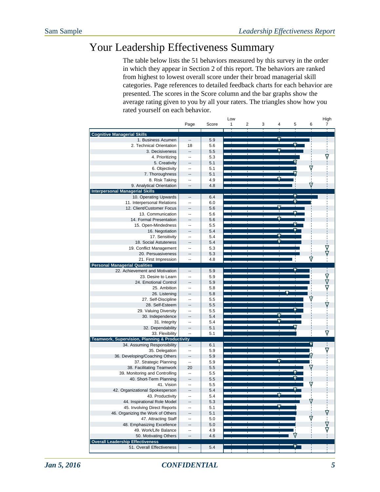# Your Leadership Effectiveness Summary

The table below lists the 51 behaviors measured by this survey in the order in which they appear in Section 2 of this report. The behaviors are ranked from highest to lowest overall score under their broad managerial skill categories. Page references to detailed feedback charts for each behavior are presented. The scores in the Score column and the bar graphs show the average rating given to you by all your raters. The triangles show how you rated yourself on each behavior.

|                                                |                          |       | Low |        |   |   |               | High |
|------------------------------------------------|--------------------------|-------|-----|--------|---|---|---------------|------|
|                                                | Page                     | Score | 1   | 2<br>3 | 4 | 5 | 6             | 7    |
|                                                |                          |       |     |        |   |   |               |      |
| <b>Cognitive Managerial Skills</b>             |                          |       |     |        |   |   |               |      |
| 1. Business Acumen                             | $\overline{\phantom{a}}$ | 5.9   |     |        |   |   |               |      |
| 2. Technical Orientation                       | 18                       | 5.6   |     |        |   |   |               |      |
| 3. Decisiveness                                | ă.                       | 5.5   |     |        |   |   |               |      |
| 4. Prioritizing                                |                          | 5.3   |     |        |   |   |               |      |
| 5. Creativity                                  |                          | 5.1   |     |        |   |   |               |      |
| 6. Objectivity                                 | $\overline{a}$           | 5.1   |     |        |   |   | V             |      |
| 7. Thoroughness                                | ۵.                       | 5.1   |     |        |   |   |               |      |
| 8. Risk Taking                                 |                          | 4.9   |     |        |   |   |               |      |
|                                                | $\overline{a}$           | 4.8   |     |        |   |   |               |      |
| 9. Analytical Orientation                      |                          |       |     |        |   |   |               |      |
| <b>Interpersonal Managerial Skills</b>         |                          |       |     |        |   |   |               |      |
| 10. Operating Upwards                          | ۰.                       | 6.4   |     |        |   |   |               |      |
| 11. Interpersonal Relations                    | ٠.                       | 6.0   |     |        |   |   |               |      |
| 12. Client/Customer Focus                      |                          | 5.6   |     |        |   |   |               |      |
| 13. Communication                              | ۵.                       | 5.6   |     |        |   |   |               |      |
| 14. Formal Presentation                        | $\overline{a}$           | 5.6   |     |        |   |   |               |      |
| 15. Open-Mindedness                            | $\overline{a}$           | 5.5   |     |        |   |   |               |      |
| 16. Negotiation                                |                          | 5.4   |     |        |   |   |               |      |
| 17. Sensitivity                                | --                       | 5.4   |     |        |   |   |               |      |
| 18. Social Astuteness                          |                          | 5.4   |     |        |   |   |               |      |
| 19. Conflict Management                        | Ц.                       | 5.3   |     |        |   |   |               |      |
| 20. Persuasiveness                             |                          | 5.3   |     |        |   |   |               |      |
|                                                | Ξ.                       |       |     |        |   |   | ∀             |      |
| 21. First Impression                           |                          | 4.8   |     |        |   |   |               |      |
| <b>Personal Managerial Qualities</b>           |                          |       |     |        |   |   |               |      |
| 22. Achievement and Motivation                 | μ.                       | 5.9   |     |        |   |   |               |      |
| 23. Desire to Learn                            |                          | 5.9   |     |        |   |   |               | ⊽    |
| 24. Emotional Control                          |                          | 5.9   |     |        |   |   |               |      |
| 25. Ambition                                   |                          | 5.8   |     |        |   |   |               |      |
| 26. Listening                                  | ۵.                       | 5.8   |     |        |   |   |               |      |
| 27. Self-Discipline                            | ٠.                       | 5.5   |     |        |   |   | Δ             |      |
| 28. Self-Esteem                                |                          | 5.5   |     |        |   |   |               |      |
| 29. Valuing Diversity                          | $\overline{a}$           | 5.5   |     |        |   |   |               |      |
| 30. Independence                               | $\overline{\phantom{a}}$ | 5.4   |     |        |   |   |               |      |
| 31. Integrity                                  | --                       | 5.4   |     |        |   |   |               |      |
| 32. Dependability                              | $\overline{\phantom{a}}$ | 5.1   |     |        |   |   |               |      |
| 33. Flexibility                                | Ξ.                       | 5.1   |     |        |   |   |               | ▽    |
|                                                |                          |       |     |        |   |   |               |      |
| Teamwork, Supervision, Planning & Productivity |                          |       |     |        |   |   |               |      |
| 34. Assuming Responsibility                    | Ξ.                       | 6.1   |     |        |   |   |               |      |
| 35. Delegation                                 | --                       | 5.9   |     |        |   |   |               | V    |
| 36. Developing/Coaching Others                 | ٠.                       | 5.9   |     |        |   |   |               |      |
| 37. Strategic Planning                         | Ξ.                       | 5.9   |     |        |   |   |               |      |
| 38. Facilitating Teamwork                      | 20                       | 5.5   |     |        |   |   |               |      |
| 39. Monitoring and Controlling                 | ÷.                       | 5.5   |     |        |   |   |               |      |
| 40. Short-Term Planning                        | $\overline{\phantom{a}}$ | 5.5   |     |        |   |   |               |      |
| 41. Vision                                     |                          | 5.5   |     |        |   |   |               |      |
| 42. Organizational Spokesperson                | $\sim$                   | 5.4   |     |        |   |   |               |      |
| 43. Productivity                               |                          | 5.4   |     |        |   |   |               |      |
| 44. Inspirational Role Model                   | ⊷                        | 5.3   |     |        |   |   | $\mathbb {V}$ |      |
|                                                |                          |       |     |        |   |   |               |      |
| 45. Involving Direct Reports                   | ۰.                       | 5.1   |     |        |   |   |               |      |
| 46. Organizing the Work of Others              | ÷                        | 5.1   |     |        |   |   |               |      |
| 47. Attracting Staff                           | --                       | 5.0   |     |        |   |   | ▽             |      |
| 48. Emphasizing Excellence                     | -−                       | 5.0   |     |        |   |   |               |      |
| 49. Work/Life Balance                          | ۰.                       | 4.9   |     |        |   |   |               |      |
| 50. Motivating Others                          | --                       | 4.6   |     |        |   | v |               |      |
| <b>Overall Leadership Effectiveness</b>        |                          |       |     |        |   |   |               |      |
| 51. Overall Effectiveness                      | --                       | 5.4   |     |        |   |   |               |      |
|                                                |                          |       |     |        |   |   |               |      |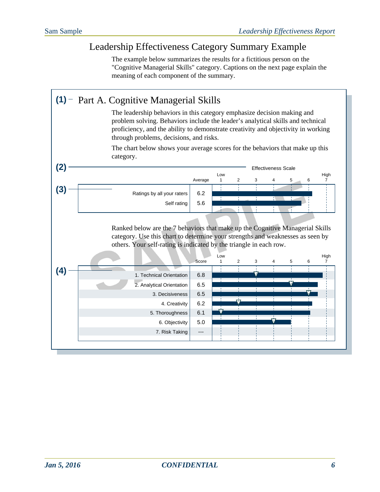## Leadership Effectiveness Category Summary Example

The example below summarizes the results for a fictitious person on the "Cognitive Managerial Skills" category. Captions on the next page explain the meaning of each component of the summary.

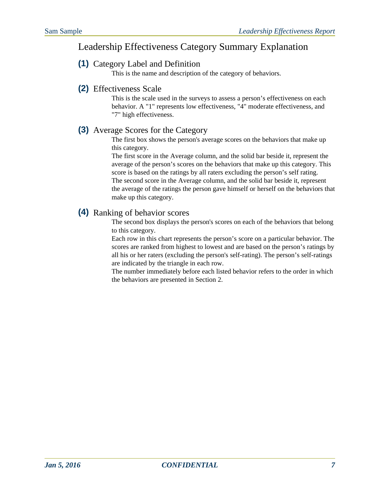### Leadership Effectiveness Category Summary Explanation

#### **(1)** Category Label and Definition

This is the name and description of the category of behaviors.

#### **(2)** Effectiveness Scale

This is the scale used in the surveys to assess a person's effectiveness on each behavior. A "1" represents low effectiveness, "4" moderate effectiveness, and "7" high effectiveness.

#### **(3)** Average Scores for the Category

The first box shows the person's average scores on the behaviors that make up this category.

The first score in the Average column, and the solid bar beside it, represent the average of the person's scores on the behaviors that make up this category. This score is based on the ratings by all raters excluding the person's self rating. The second score in the Average column, and the solid bar beside it, represent the average of the ratings the person gave himself or herself on the behaviors that make up this category.

#### **(4)** Ranking of behavior scores

The second box displays the person's scores on each of the behaviors that belong to this category.

Each row in this chart represents the person's score on a particular behavior. The scores are ranked from highest to lowest and are based on the person's ratings by all his or her raters (excluding the person's self-rating). The person's self-ratings are indicated by the triangle in each row.

The number immediately before each listed behavior refers to the order in which the behaviors are presented in Section 2.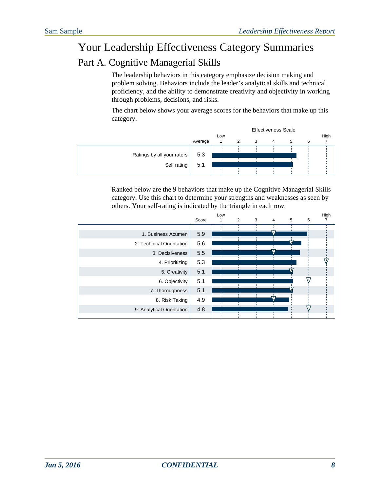# Your Leadership Effectiveness Category Summaries Part A. Cognitive Managerial Skills

The leadership behaviors in this category emphasize decision making and problem solving. Behaviors include the leader's analytical skills and technical proficiency, and the ability to demonstrate creativity and objectivity in working through problems, decisions, and risks.

The chart below shows your average scores for the behaviors that make up this category.



Ranked below are the 9 behaviors that make up the Cognitive Managerial Skills category. Use this chart to determine your strengths and weaknesses as seen by others. Your self-rating is indicated by the triangle in each row.

|                           | Score | Low | 2 | 3 | $\overline{4}$ | 5 | 6 | High |
|---------------------------|-------|-----|---|---|----------------|---|---|------|
|                           |       |     |   |   |                |   |   |      |
| 1. Business Acumen        | 5.9   |     |   |   |                |   |   |      |
| 2. Technical Orientation  | 5.6   |     |   |   |                |   |   |      |
| 3. Decisiveness           | 5.5   |     |   |   |                |   |   |      |
| 4. Prioritizing           | 5.3   |     |   |   |                |   |   | ᠳ    |
| 5. Creativity             | 5.1   |     |   |   |                |   |   |      |
| 6. Objectivity            | 5.1   |     |   |   |                |   |   |      |
| 7. Thoroughness           | 5.1   |     |   |   |                |   |   |      |
| 8. Risk Taking            | 4.9   |     |   |   |                |   |   |      |
| 9. Analytical Orientation | 4.8   |     |   |   |                |   |   |      |
|                           |       |     |   |   |                |   |   |      |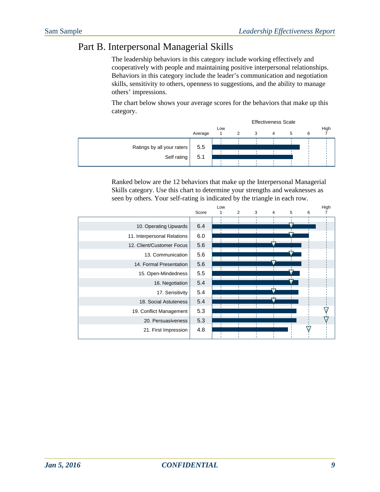#### Part B. Interpersonal Managerial Skills

The leadership behaviors in this category include working effectively and cooperatively with people and maintaining positive interpersonal relationships. Behaviors in this category include the leader's communication and negotiation skills, sensitivity to others, openness to suggestions, and the ability to manage others' impressions.

The chart below shows your average scores for the behaviors that make up this category.



Ranked below are the 12 behaviors that make up the Interpersonal Managerial Skills category. Use this chart to determine your strengths and weaknesses as seen by others. Your self-rating is indicated by the triangle in each row.

|                             |       | Low |   |   |                         |   |   | High |
|-----------------------------|-------|-----|---|---|-------------------------|---|---|------|
|                             | Score | 1   | 2 | 3 | $\overline{4}$          | 5 | 6 |      |
|                             |       |     |   |   |                         |   |   |      |
| 10. Operating Upwards       | 6.4   |     |   |   |                         |   |   |      |
| 11. Interpersonal Relations | 6.0   |     |   |   |                         |   |   |      |
| 12. Client/Customer Focus   | 5.6   |     |   |   |                         |   |   |      |
| 13. Communication           | 5.6   |     |   |   |                         |   |   |      |
| 14. Formal Presentation     | 5.6   |     |   |   |                         |   |   |      |
| 15. Open-Mindedness         | 5.5   |     |   |   |                         |   |   |      |
| 16. Negotiation             | 5.4   |     |   |   |                         |   |   |      |
| 17. Sensitivity             | 5.4   |     |   |   | $\overline{\mathbf{r}}$ |   |   |      |
| 18. Social Astuteness       | 5.4   |     |   |   |                         |   |   |      |
| 19. Conflict Management     | 5.3   |     |   |   |                         |   |   |      |
| 20. Persuasiveness          | 5.3   |     |   |   |                         |   |   |      |
| 21. First Impression        | 4.8   |     |   |   |                         |   |   |      |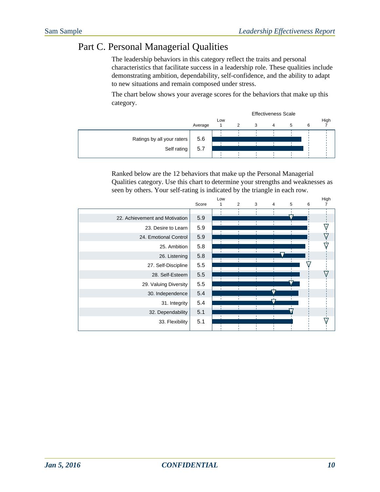# Part C. Personal Managerial Qualities

The leadership behaviors in this category reflect the traits and personal characteristics that facilitate success in a leadership role. These qualities include demonstrating ambition, dependability, self-confidence, and the ability to adapt to new situations and remain composed under stress.

The chart below shows your average scores for the behaviors that make up this category.



Ranked below are the 12 behaviors that make up the Personal Managerial Qualities category. Use this chart to determine your strengths and weaknesses as seen by others. Your self-rating is indicated by the triangle in each row.

|                                |       | Low |                |   |                |   |   | High                                                      |
|--------------------------------|-------|-----|----------------|---|----------------|---|---|-----------------------------------------------------------|
|                                | Score | 1   | $\overline{2}$ | 3 | $\overline{4}$ | 5 | 6 |                                                           |
|                                |       |     |                |   |                |   |   |                                                           |
| 22. Achievement and Motivation | 5.9   |     |                |   |                |   |   |                                                           |
| 23. Desire to Learn            | 5.9   |     |                |   |                |   |   |                                                           |
| 24. Emotional Control          | 5.9   |     |                |   |                |   |   |                                                           |
| 25. Ambition                   | 5.8   |     |                |   |                |   |   | $\mathbf{\mathbf{\mathbf{\mathbf{\mathbf{\mathbf{u}}}}}}$ |
| 26. Listening                  | 5.8   |     |                |   |                |   |   |                                                           |
| 27. Self-Discipline            | 5.5   |     |                |   |                |   |   |                                                           |
| 28. Self-Esteem                | 5.5   |     |                |   |                |   |   |                                                           |
| 29. Valuing Diversity          | 5.5   |     |                |   |                |   |   |                                                           |
| 30. Independence               | 5.4   |     |                |   |                |   |   |                                                           |
| 31. Integrity                  | 5.4   |     |                |   |                |   |   |                                                           |
| 32. Dependability              | 5.1   |     |                |   |                |   |   |                                                           |
| 33. Flexibility                | 5.1   |     |                |   |                |   |   |                                                           |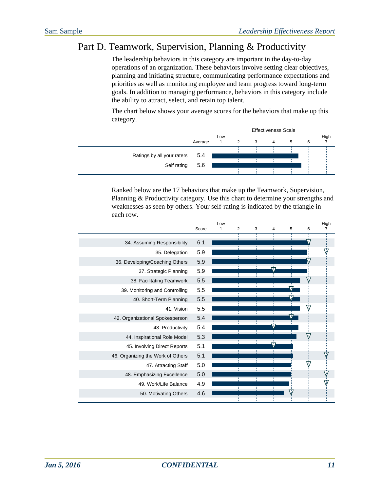## Part D. Teamwork, Supervision, Planning & Productivity

The leadership behaviors in this category are important in the day-to-day operations of an organization. These behaviors involve setting clear objectives, planning and initiating structure, communicating performance expectations and priorities as well as monitoring employee and team progress toward long-term goals. In addition to managing performance, behaviors in this category include the ability to attract, select, and retain top talent.

The chart below shows your average scores for the behaviors that make up this category.



Ranked below are the 17 behaviors that make up the Teamwork, Supervision, Planning & Productivity category. Use this chart to determine your strengths and weaknesses as seen by others. Your self-rating is indicated by the triangle in each row.

|                                   |       | Low |                |   |   |   |    | High           |
|-----------------------------------|-------|-----|----------------|---|---|---|----|----------------|
|                                   | Score | 1   | $\overline{2}$ | 3 | 4 | 5 | 6  | $\overline{7}$ |
|                                   |       |     |                |   |   |   |    |                |
| 34. Assuming Responsibility       | 6.1   |     |                |   |   |   |    |                |
| 35. Delegation                    | 5.9   |     |                |   |   |   |    |                |
| 36. Developing/Coaching Others    | 5.9   |     |                |   |   |   |    |                |
| 37. Strategic Planning            | 5.9   |     |                |   |   |   |    |                |
| 38. Facilitating Teamwork         | 5.5   |     |                |   |   |   |    |                |
| 39. Monitoring and Controlling    | 5.5   |     |                |   |   |   |    |                |
| 40. Short-Term Planning           | 5.5   |     |                |   |   |   |    |                |
| 41. Vision                        | 5.5   |     |                |   |   |   |    |                |
| 42. Organizational Spokesperson   | 5.4   |     |                |   |   |   |    |                |
| 43. Productivity                  | 5.4   |     |                |   |   |   |    |                |
| 44. Inspirational Role Model      | 5.3   |     |                |   |   |   |    |                |
| 45. Involving Direct Reports      | 5.1   |     |                |   |   |   |    |                |
| 46. Organizing the Work of Others | 5.1   |     |                |   |   |   |    |                |
| 47. Attracting Staff              | 5.0   |     |                |   |   |   | ū. |                |
| 48. Emphasizing Excellence        | 5.0   |     |                |   |   |   |    |                |
| 49. Work/Life Balance             | 4.9   |     |                |   |   |   |    |                |
| 50. Motivating Others             | 4.6   |     |                |   |   |   |    |                |
|                                   |       |     |                |   |   |   |    |                |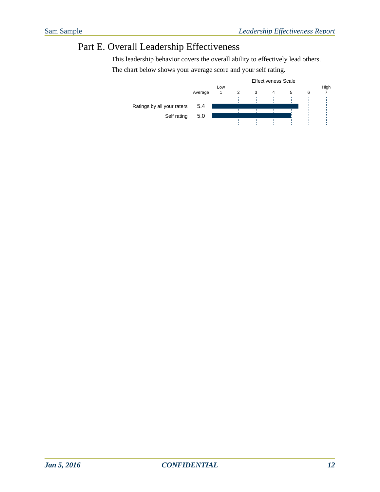# Part E. Overall Leadership Effectiveness

This leadership behavior covers the overall ability to effectively lead others.

The chart below shows your average score and your self rating.

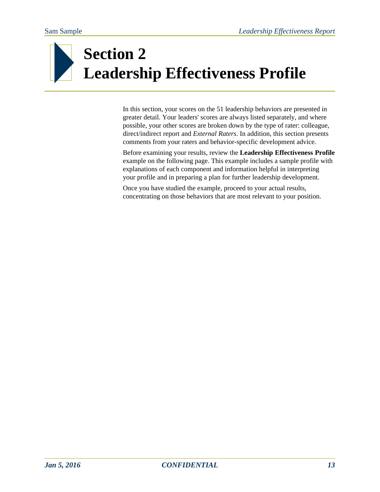# **Section 2 Leadership Effectiveness Profile**

In this section, your scores on the 51 leadership behaviors are presented in greater detail. Your leaders' scores are always listed separately, and where possible, your other scores are broken down by the type of rater: colleague, direct/indirect report and *External Raters*. In addition, this section presents comments from your raters and behavior-specific development advice.

Before examining your results, review the **Leadership Effectiveness Profile** example on the following page. This example includes a sample profile with explanations of each component and information helpful in interpreting your profile and in preparing a plan for further leadership development.

Once you have studied the example, proceed to your actual results, concentrating on those behaviors that are most relevant to your position.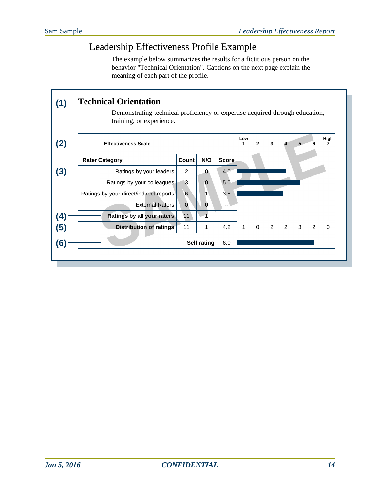# Leadership Effectiveness Profile Example

The example below summarizes the results for a fictitious person on the behavior "Technical Orientation". Captions on the next page explain the meaning of each part of the profile.

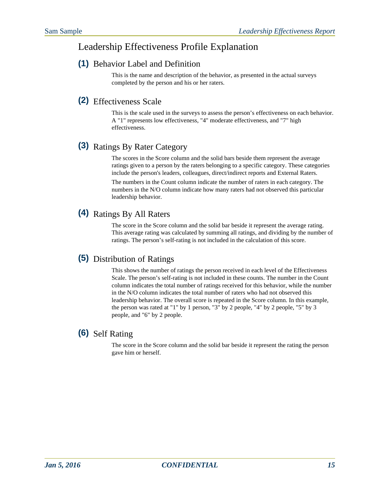#### Leadership Effectiveness Profile Explanation

#### **(1)** Behavior Label and Definition

This is the name and description of the behavior, as presented in the actual surveys completed by the person and his or her raters.

#### **(2)** Effectiveness Scale

This is the scale used in the surveys to assess the person's effectiveness on each behavior. A "1" represents low effectiveness, "4" moderate effectiveness, and "7" high effectiveness.

#### **(3)** Ratings By Rater Category

The scores in the Score column and the solid bars beside them represent the average ratings given to a person by the raters belonging to a specific category. These categories include the person's leaders, colleagues, direct/indirect reports and External Raters.

The numbers in the Count column indicate the number of raters in each category. The numbers in the N/O column indicate how many raters had not observed this particular leadership behavior.

#### **(4)** Ratings By All Raters

The score in the Score column and the solid bar beside it represent the average rating. This average rating was calculated by summing all ratings, and dividing by the number of ratings. The person's self-rating is not included in the calculation of this score.

#### **(5)** Distribution of Ratings

This shows the number of ratings the person received in each level of the Effectiveness Scale. The person's self-rating is not included in these counts. The number in the Count column indicates the total number of ratings received for this behavior, while the number in the N/O column indicates the total number of raters who had not observed this leadership behavior. The overall score is repeated in the Score column. In this example, the person was rated at "1" by 1 person, "3" by 2 people, "4" by 2 people, "5" by 3 people, and "6" by 2 people.

#### **(6)** Self Rating

The score in the Score column and the solid bar beside it represent the rating the person gave him or herself.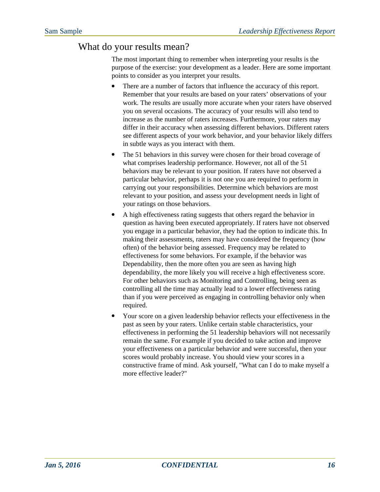# What do your results mean?

The most important thing to remember when interpreting your results is the purpose of the exercise: your development as a leader. Here are some important points to consider as you interpret your results.

- There are a number of factors that influence the accuracy of this report. Remember that your results are based on your raters' observations of your work. The results are usually more accurate when your raters have observed you on several occasions. The accuracy of your results will also tend to increase as the number of raters increases. Furthermore, your raters may differ in their accuracy when assessing different behaviors. Different raters see different aspects of your work behavior, and your behavior likely differs in subtle ways as you interact with them.
- The 51 behaviors in this survey were chosen for their broad coverage of what comprises leadership performance. However, not all of the 51 behaviors may be relevant to your position. If raters have not observed a particular behavior, perhaps it is not one you are required to perform in carrying out your responsibilities. Determine which behaviors are most relevant to your position, and assess your development needs in light of your ratings on those behaviors.
- A high effectiveness rating suggests that others regard the behavior in question as having been executed appropriately. If raters have not observed you engage in a particular behavior, they had the option to indicate this. In making their assessments, raters may have considered the frequency (how often) of the behavior being assessed. Frequency may be related to effectiveness for some behaviors. For example, if the behavior was Dependability, then the more often you are seen as having high dependability, the more likely you will receive a high effectiveness score. For other behaviors such as Monitoring and Controlling, being seen as controlling all the time may actually lead to a lower effectiveness rating than if you were perceived as engaging in controlling behavior only when required.
- Your score on a given leadership behavior reflects your effectiveness in the past as seen by your raters. Unlike certain stable characteristics, your effectiveness in performing the 51 leadership behaviors will not necessarily remain the same. For example if you decided to take action and improve your effectiveness on a particular behavior and were successful, then your scores would probably increase. You should view your scores in a constructive frame of mind. Ask yourself, "What can I do to make myself a more effective leader?"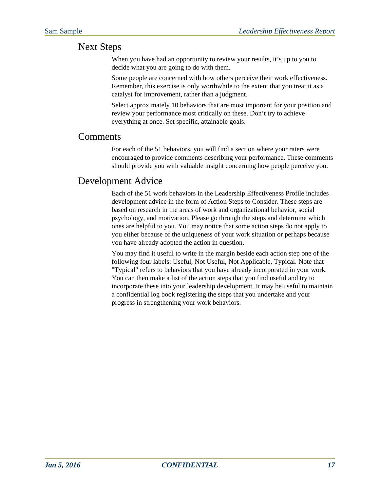#### Next Steps

When you have had an opportunity to review your results, it's up to you to decide what you are going to do with them.

Some people are concerned with how others perceive their work effectiveness. Remember, this exercise is only worthwhile to the extent that you treat it as a catalyst for improvement, rather than a judgment.

Select approximately 10 behaviors that are most important for your position and review your performance most critically on these. Don't try to achieve everything at once. Set specific, attainable goals.

#### Comments

For each of the 51 behaviors, you will find a section where your raters were encouraged to provide comments describing your performance. These comments should provide you with valuable insight concerning how people perceive you.

#### Development Advice

Each of the 51 work behaviors in the Leadership Effectiveness Profile includes development advice in the form of Action Steps to Consider. These steps are based on research in the areas of work and organizational behavior, social psychology, and motivation. Please go through the steps and determine which ones are helpful to you. You may notice that some action steps do not apply to you either because of the uniqueness of your work situation or perhaps because you have already adopted the action in question.

You may find it useful to write in the margin beside each action step one of the following four labels: Useful, Not Useful, Not Applicable, Typical. Note that "Typical" refers to behaviors that you have already incorporated in your work. You can then make a list of the action steps that you find useful and try to incorporate these into your leadership development. It may be useful to maintain a confidential log book registering the steps that you undertake and your progress in strengthening your work behaviors.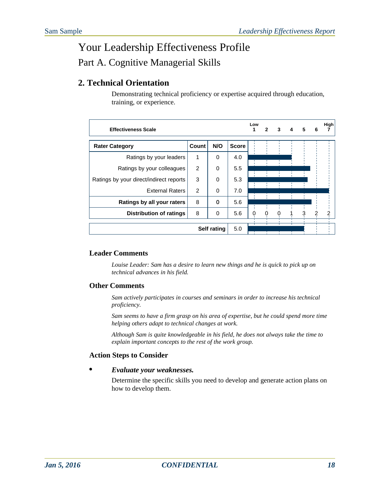# Your Leadership Effectiveness Profile Part A. Cognitive Managerial Skills

#### **2. Technical Orientation**

Demonstrating technical proficiency or expertise acquired through education, training, or experience.

| <b>Effectiveness Scale</b>              |                |             |              | Low<br>1 | $\overline{2}$ | $3 \quad 4$ | $-5$ | 6 | High<br>7 |
|-----------------------------------------|----------------|-------------|--------------|----------|----------------|-------------|------|---|-----------|
| <b>Rater Category</b>                   | Count          | N/O         | <b>Score</b> |          |                |             |      |   |           |
| Ratings by your leaders                 | 1              | 0           | 4.0          |          |                |             |      |   |           |
| Ratings by your colleagues              | $\overline{2}$ | 0           | 5.5          |          |                |             |      |   |           |
| Ratings by your direct/indirect reports | 3              | $\Omega$    | 5.3          |          |                |             |      |   |           |
| <b>External Raters</b>                  | 2              | $\Omega$    | 7.0          |          |                |             |      |   |           |
| Ratings by all your raters              | 8              | $\mathbf 0$ | 5.6          |          |                |             |      |   |           |
| <b>Distribution of ratings</b>          | 8              | 0           | 5.6          |          |                |             |      | 2 | 2         |
|                                         | 5.0            |             |              |          |                |             |      |   |           |

#### **Leader Comments**

*Louise Leader: Sam has a desire to learn new things and he is quick to pick up on technical advances in his field.*

#### **Other Comments**

*Sam actively participates in courses and seminars in order to increase his technical proficiency.*

*Sam seems to have a firm grasp on his area of expertise, but he could spend more time helping others adapt to technical changes at work.*

*Although Sam is quite knowledgeable in his field, he does not always take the time to explain important concepts to the rest of the work group.*

#### **Action Steps to Consider**

#### *Evaluate your weaknesses.*

Determine the specific skills you need to develop and generate action plans on how to develop them.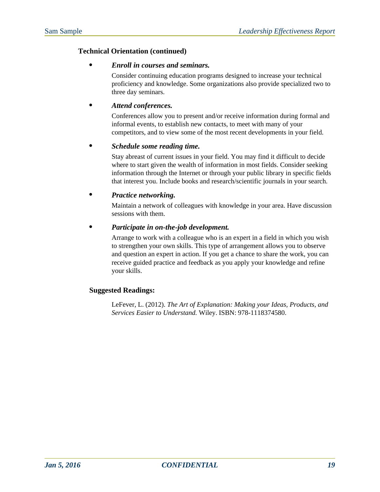#### **Technical Orientation (continued)**

#### *Enroll in courses and seminars.*

Consider continuing education programs designed to increase your technical proficiency and knowledge. Some organizations also provide specialized two to three day seminars.

#### *Attend conferences.*

Conferences allow you to present and/or receive information during formal and informal events, to establish new contacts, to meet with many of your competitors, and to view some of the most recent developments in your field.

#### *Schedule some reading time.*

Stay abreast of current issues in your field. You may find it difficult to decide where to start given the wealth of information in most fields. Consider seeking information through the Internet or through your public library in specific fields that interest you. Include books and research/scientific journals in your search.

#### *Practice networking.*

Maintain a network of colleagues with knowledge in your area. Have discussion sessions with them.

#### *Participate in on-the-job development.*

Arrange to work with a colleague who is an expert in a field in which you wish to strengthen your own skills. This type of arrangement allows you to observe and question an expert in action. If you get a chance to share the work, you can receive guided practice and feedback as you apply your knowledge and refine your skills.

#### **Suggested Readings:**

LeFever, L. (2012). *The Art of Explanation: Making your Ideas, Products, and Services Easier to Understand.* Wiley. ISBN: 978-1118374580.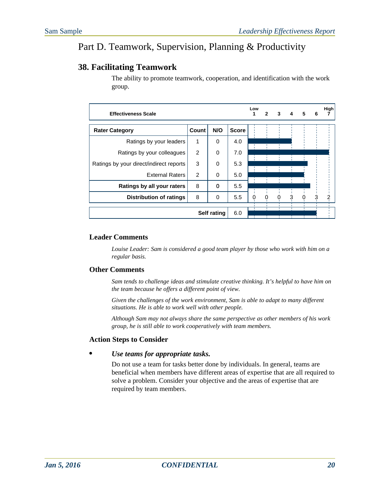## Part D. Teamwork, Supervision, Planning & Productivity

#### **38. Facilitating Teamwork**

The ability to promote teamwork, cooperation, and identification with the work group.

| <b>Effectiveness Scale</b>              |                |             |              | Low | 2 | 3 | $\boldsymbol{4}$ | 5 | 6 | High |
|-----------------------------------------|----------------|-------------|--------------|-----|---|---|------------------|---|---|------|
| <b>Rater Category</b>                   | Count          | N/O         | <b>Score</b> |     |   |   |                  |   |   |      |
| Ratings by your leaders                 | 1              | $\Omega$    | 4.0          |     |   |   |                  |   |   |      |
| Ratings by your colleagues              | $\overline{2}$ | $\Omega$    | 7.0          |     |   |   |                  |   |   |      |
| Ratings by your direct/indirect reports | 3              | $\Omega$    | 5.3          |     |   |   |                  |   |   |      |
| <b>External Raters</b>                  | 2              | $\Omega$    | 5.0          |     |   |   |                  |   |   |      |
| Ratings by all your raters              | 8              | $\mathbf 0$ | 5.5          |     |   |   |                  |   |   |      |
| <b>Distribution of ratings</b>          | 8              | 0           | 5.5          |     | 0 |   | 3                | 0 | 3 | 2    |
|                                         | 6.0            |             |              |     |   |   |                  |   |   |      |

#### **Leader Comments**

*Louise Leader: Sam is considered a good team player by those who work with him on a regular basis.*

#### **Other Comments**

*Sam tends to challenge ideas and stimulate creative thinking. It's helpful to have him on the team because he offers a different point of view.*

*Given the challenges of the work environment, Sam is able to adapt to many different situations. He is able to work well with other people.*

*Although Sam may not always share the same perspective as other members of his work group, he is still able to work cooperatively with team members.*

#### **Action Steps to Consider**

#### *Use teams for appropriate tasks.*

Do not use a team for tasks better done by individuals. In general, teams are beneficial when members have different areas of expertise that are all required to solve a problem. Consider your objective and the areas of expertise that are required by team members.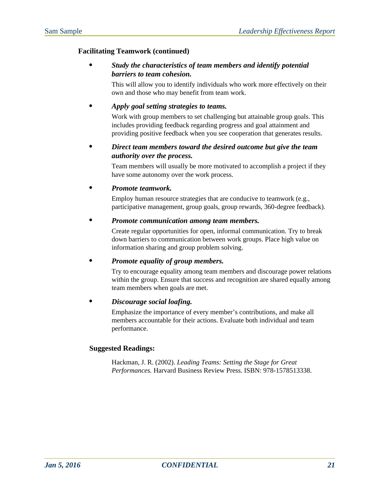#### **Facilitating Teamwork (continued)**

#### *Study the characteristics of team members and identify potential barriers to team cohesion.*

This will allow you to identify individuals who work more effectively on their own and those who may benefit from team work.

#### *Apply goal setting strategies to teams.*

Work with group members to set challenging but attainable group goals. This includes providing feedback regarding progress and goal attainment and providing positive feedback when you see cooperation that generates results.

#### *Direct team members toward the desired outcome but give the team authority over the process.*

Team members will usually be more motivated to accomplish a project if they have some autonomy over the work process.

#### *Promote teamwork.*

Employ human resource strategies that are conducive to teamwork (e.g., participative management, group goals, group rewards, 360-degree feedback).

#### *Promote communication among team members.*

Create regular opportunities for open, informal communication. Try to break down barriers to communication between work groups. Place high value on information sharing and group problem solving.

#### *Promote equality of group members.*

Try to encourage equality among team members and discourage power relations within the group. Ensure that success and recognition are shared equally among team members when goals are met.

#### *Discourage social loafing.*

Emphasize the importance of every member's contributions, and make all members accountable for their actions. Evaluate both individual and team performance.

#### **Suggested Readings:**

Hackman, J. R. (2002). *Leading Teams: Setting the Stage for Great Performances.* Harvard Business Review Press. ISBN: 978-1578513338.